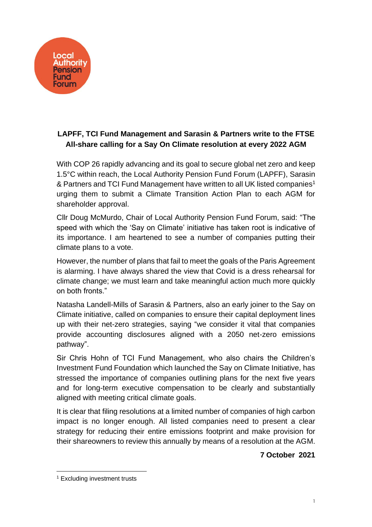

## **LAPFF, TCI Fund Management and Sarasin & Partners write to the FTSE All-share calling for a Say On Climate resolution at every 2022 AGM**

With COP 26 rapidly advancing and its goal to secure global net zero and keep 1.5°C within reach, the Local Authority Pension Fund Forum (LAPFF), Sarasin & Partners and TCI Fund Management have written to all UK listed companies<sup>1</sup> urging them to submit a Climate Transition Action Plan to each AGM for shareholder approval.

Cllr Doug McMurdo, Chair of Local Authority Pension Fund Forum, said: "The speed with which the 'Say on Climate' initiative has taken root is indicative of its importance. I am heartened to see a number of companies putting their climate plans to a vote.

However, the number of plans that fail to meet the goals of the Paris Agreement is alarming. I have always shared the view that Covid is a dress rehearsal for climate change; we must learn and take meaningful action much more quickly on both fronts."

Natasha Landell-Mills of Sarasin & Partners, also an early joiner to the Say on Climate initiative, called on companies to ensure their capital deployment lines up with their net-zero strategies, saying "we consider it vital that companies provide accounting disclosures aligned with a 2050 net-zero emissions pathway".

Sir Chris Hohn of TCI Fund Management, who also chairs the Children's Investment Fund Foundation which launched the Say on Climate Initiative, has stressed the importance of companies outlining plans for the next five years and for long-term executive compensation to be clearly and substantially aligned with meeting critical climate goals.

It is clear that filing resolutions at a limited number of companies of high carbon impact is no longer enough. All listed companies need to present a clear strategy for reducing their entire emissions footprint and make provision for their shareowners to review this annually by means of a resolution at the AGM.

**7 October 2021**

<sup>&</sup>lt;sup>1</sup> Excluding investment trusts